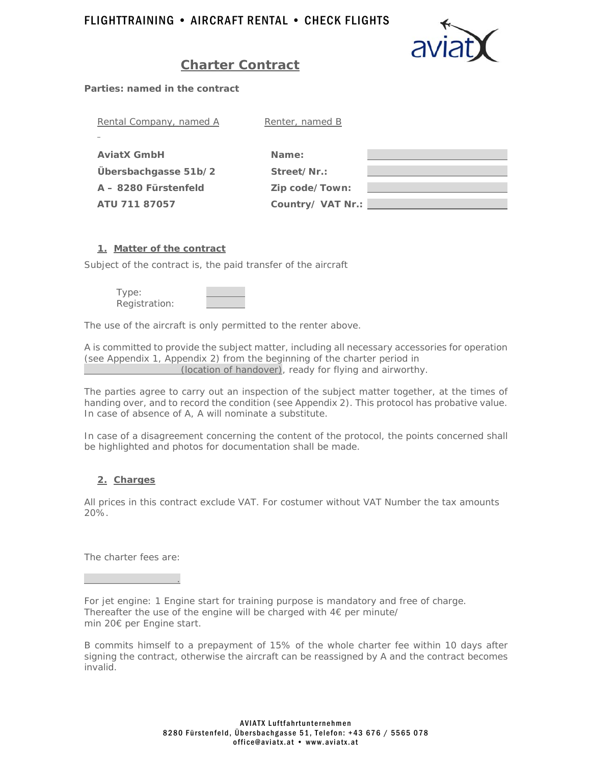

# **Charter Contract**

*Parties: named in the contract* 

| Rental Company, named A | Renter, named B   |  |
|-------------------------|-------------------|--|
|                         |                   |  |
| <b>AviatX GmbH</b>      | Name:             |  |
| Übersbachgasse 51b/2    | Street/Nr.:       |  |
| A - 8280 Fürstenfeld    | Zip code/Town:    |  |
| ATU 711 87057           | Country/ VAT Nr.: |  |

## **1. Matter of the contract**

Subject of the contract is, the paid transfer of the aircraft

Type: Registration:

The use of the aircraft is only permitted to the renter above.

A is committed to provide the subject matter, including all necessary accessories for operation *(see Appendix 1, Appendix 2)* from the beginning of the charter period in (location of handover), ready for flying and airworthy.

The parties agree to carry out an inspection of the subject matter together, at the times of handing over, and to record the condition *(see Appendix 2)*. This protocol has probative value. In case of absence of A, A will nominate a substitute.

In case of a disagreement concerning the content of the protocol, the points concerned shall be highlighted and photos for documentation shall be made.

# **2. Charges**

All prices in this contract exclude VAT. For costumer without VAT Number the tax amounts 20%.

The charter fees are:

.

For jet engine: 1 Engine start for training purpose is mandatory and free of charge. Thereafter the use of the engine will be charged with  $4 \epsilon$  per minute/ min 20€ per Engine start.

B commits himself to a prepayment of 15% of the whole charter fee within 10 days after signing the contract, otherwise the aircraft can be reassigned by A and the contract becomes invalid.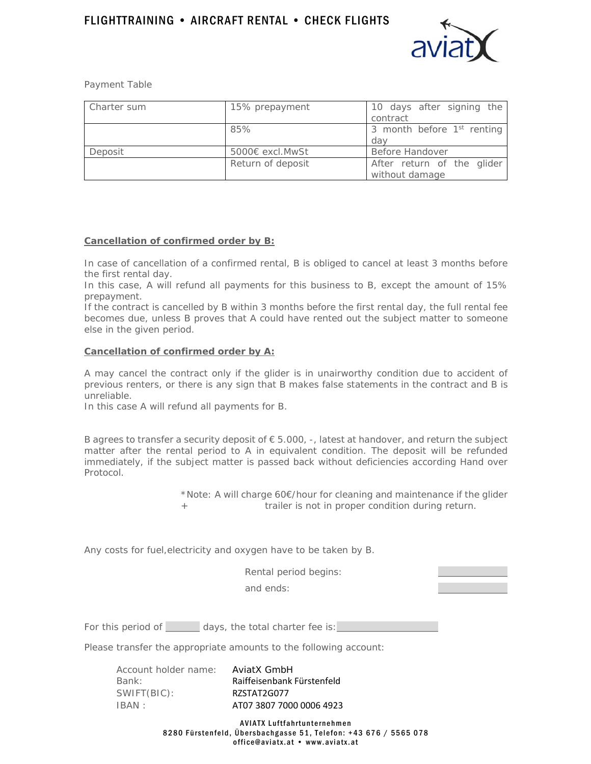

Payment Table

| Charter sum | 15% prepayment    | 10 days after signing the<br>contract        |
|-------------|-------------------|----------------------------------------------|
|             | 85%               | 3 month before $1st$ renting<br>dav          |
| Deposit     | 5000€ excl.MwSt   | Before Handover                              |
|             | Return of deposit | After return of the glider<br>without damage |

## **Cancellation of confirmed order by B:**

In case of cancellation of a confirmed rental, B is obliged to cancel at least 3 months before the first rental day.

In this case, A will refund all payments for this business to B, except the amount of 15% prepayment.

If the contract is cancelled by B within 3 months before the first rental day, the full rental fee becomes due, unless B proves that A could have rented out the subject matter to someone else in the given period.

#### **Cancellation of confirmed order by A:**

A may cancel the contract only if the glider is in unairworthy condition due to accident of previous renters, or there is any sign that B makes false statements in the contract and B is unreliable.

In this case A will refund all payments for B.

B agrees to transfer a security deposit of  $\epsilon$  5.000, -, latest at handover, and return the subject matter after the rental period to A in equivalent condition. The deposit will be refunded immediately, if the subject matter is passed back without deficiencies according Hand over Protocol.

> \*Note: A will charge 60€/hour for cleaning and maintenance if the glider + trailer is not in proper condition during return.

Any costs for fuel,electricity and oxygen have to be taken by B.

Rental period begins:

and ends:

For this period of days, the total charter fee is:

Please transfer the appropriate amounts to the following account:

| Account holder name: | AviatX GmbH                |
|----------------------|----------------------------|
| Bank:                | Raiffeisenbank Fürstenfeld |
| SWIFT(BIC):          | RZSTAT2G077                |
| IBAN :               | AT07 3807 7000 0006 4923   |

AVIATX Luftfahrtunternehmen 8280 Fürstenfeld, Übersbachgasse 51, Telefon: +43 676 / 5565 078 office@aviatx.at • www.aviatx.at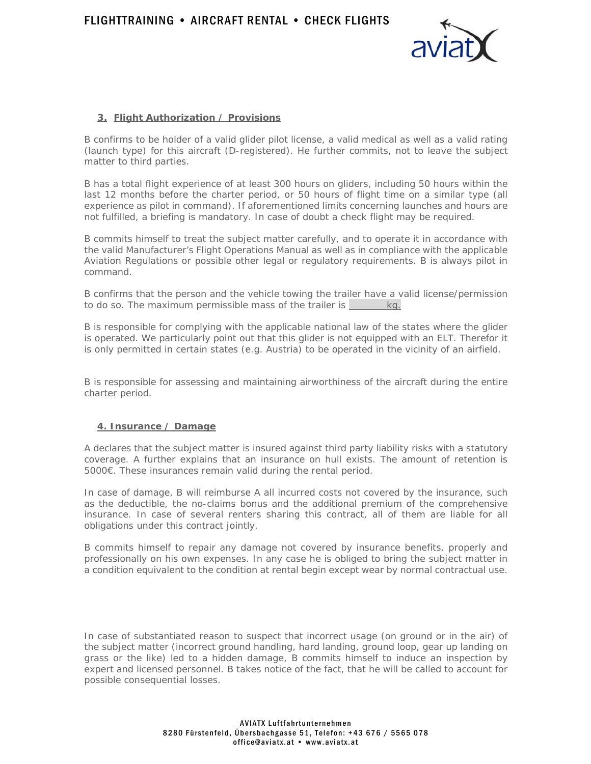

## **3. Flight Authorization / Provisions**

B confirms to be holder of a valid glider pilot license, a valid medical as well as a valid rating (launch type) for this aircraft (D-registered). He further commits, not to leave the subject matter to third parties.

B has a total flight experience of at least 300 hours on gliders, including 50 hours within the last 12 months before the charter period, or 50 hours of flight time on a similar type (all experience as pilot in command). If aforementioned limits concerning launches and hours are not fulfilled, a briefing is mandatory. In case of doubt a check flight may be required.

B commits himself to treat the subject matter carefully, and to operate it in accordance with the valid Manufacturer's Flight Operations Manual as well as in compliance with the applicable Aviation Regulations or possible other legal or regulatory requirements. B is always pilot in command.

B confirms that the person and the vehicle towing the trailer have a valid license/permission to do so. The maximum permissible mass of the trailer is  $\frac{1}{\log n}$ 

B is responsible for complying with the applicable national law of the states where the glider is operated. We particularly point out that this glider is not equipped with an ELT. Therefor it is only permitted in certain states (e.g. Austria) to be operated in the vicinity of an airfield.

B is responsible for assessing and maintaining airworthiness of the aircraft during the entire charter period.

### **4. Insurance / Damage**

A declares that the subject matter is insured against third party liability risks with a statutory coverage. A further explains that an insurance on hull exists. The amount of retention is 5000€. These insurances remain valid during the rental period.

In case of damage, B will reimburse A all incurred costs not covered by the insurance, such as the deductible, the no-claims bonus and the additional premium of the comprehensive insurance. In case of several renters sharing this contract, all of them are liable for all obligations under this contract jointly.

B commits himself to repair any damage not covered by insurance benefits, properly and professionally on his own expenses. In any case he is obliged to bring the subject matter in a condition equivalent to the condition at rental begin except wear by normal contractual use.

In case of substantiated reason to suspect that incorrect usage (on ground or in the air) of the subject matter (incorrect ground handling, hard landing, ground loop, gear up landing on grass or the like) led to a hidden damage, B commits himself to induce an inspection by expert and licensed personnel. B takes notice of the fact, that he will be called to account for possible consequential losses.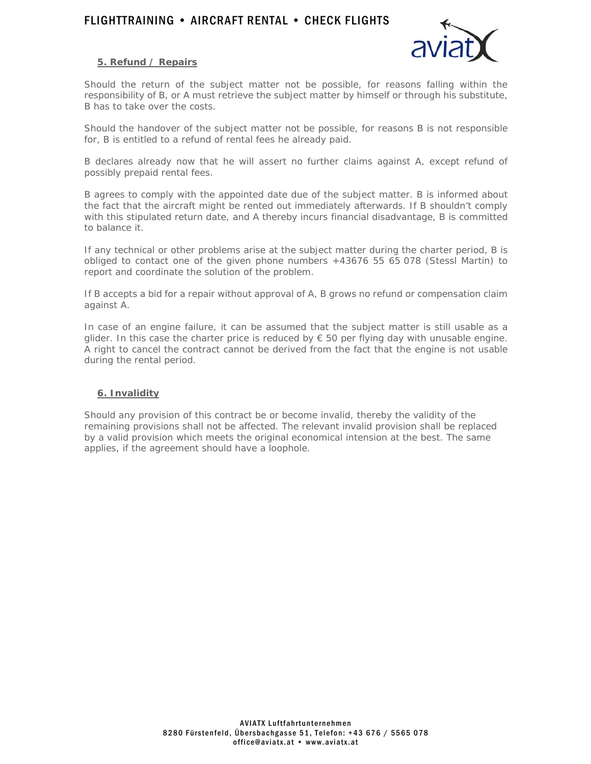# FLIGHTTRAINING • AIRCRAFT RENTAL • CHECK FLIGHTS



### **5. Refund / Repairs**

Should the return of the subject matter not be possible, for reasons falling within the responsibility of B, or A must retrieve the subject matter by himself or through his substitute, B has to take over the costs.

Should the handover of the subject matter not be possible, for reasons B is not responsible for, B is entitled to a refund of rental fees he already paid.

B declares already now that he will assert no further claims against A, except refund of possibly prepaid rental fees.

B agrees to comply with the appointed date due of the subject matter. B is informed about the fact that the aircraft might be rented out immediately afterwards. If B shouldn't comply with this stipulated return date, and A thereby incurs financial disadvantage, B is committed to balance it.

If any technical or other problems arise at the subject matter during the charter period, B is obliged to contact one of the given phone numbers +43676 55 65 078 (Stessl Martin) to report and coordinate the solution of the problem.

If B accepts a bid for a repair without approval of A, B grows no refund or compensation claim against A.

In case of an engine failure, it can be assumed that the subject matter is still usable as a glider. In this case the charter price is reduced by  $\epsilon$  50 per flying day with unusable engine. A right to cancel the contract cannot be derived from the fact that the engine is not usable during the rental period.

#### **6. Invalidity**

Should any provision of this contract be or become invalid, thereby the validity of the remaining provisions shall not be affected. The relevant invalid provision shall be replaced by a valid provision which meets the original economical intension at the best. The same applies, if the agreement should have a loophole.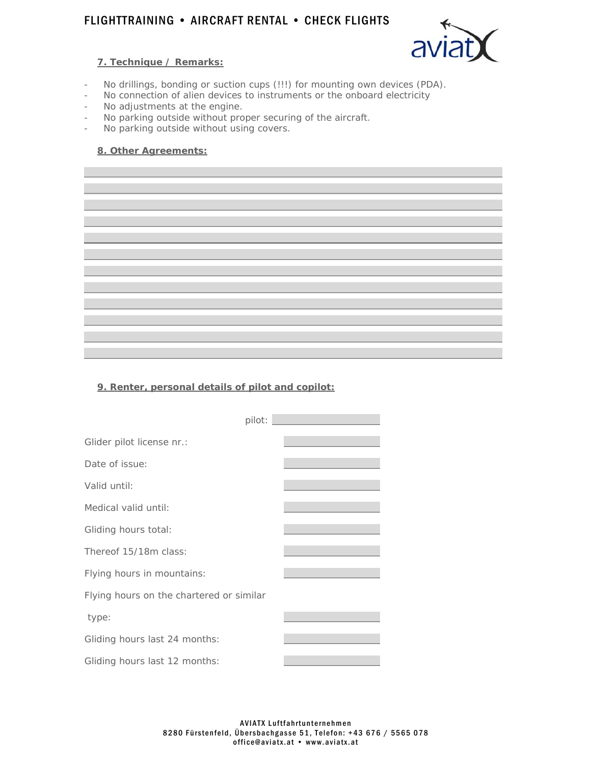# FLIGHTTRAINING • AIRCRAFT RENTAL • CHECK FLIGHTS

## **7. Technique / Remarks:**



- No drillings, bonding or suction cups (!!!) for mounting own devices (PDA).
- No connection of alien devices to instruments or the onboard electricity
- No adjustments at the engine.
- No parking outside without proper securing of the aircraft.
- No parking outside without using covers.

### **8. Other Agreements:**

## **9. Renter, personal details of pilot and copilot:**

|                                          | pilot: |
|------------------------------------------|--------|
| Glider pilot license nr.:                |        |
| Date of issue:                           |        |
| Valid until:                             |        |
| Medical valid until:                     |        |
| Gliding hours total:                     |        |
| Thereof 15/18m class:                    |        |
| Flying hours in mountains:               |        |
| Flying hours on the chartered or similar |        |
| type:                                    |        |
| Gliding hours last 24 months:            |        |
| Gliding hours last 12 months:            |        |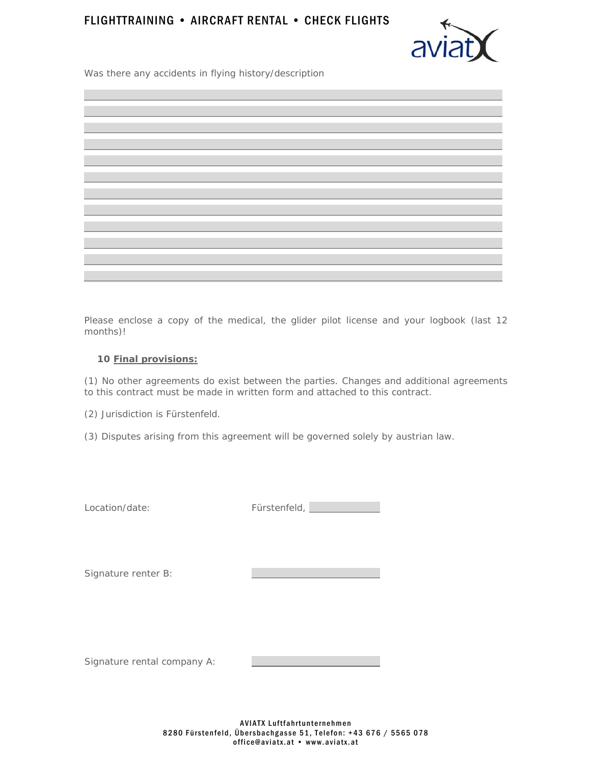# FLIGHTTRAINING • AIRCRAFT RENTAL • CHECK FLIGHTS



Was there any accidents in flying history/description

Please enclose a copy of the medical, the glider pilot license and your logbook (last 12 months)!

### **10 Final provisions:**

(1) No other agreements do exist between the parties. Changes and additional agreements to this contract must be made in written form and attached to this contract.

(2) Jurisdiction is Fürstenfeld.

(3) Disputes arising from this agreement will be governed solely by austrian law.

Location/date:

| Fürstenfeld, |  |
|--------------|--|
|--------------|--|

Signature renter B:

Signature rental company A: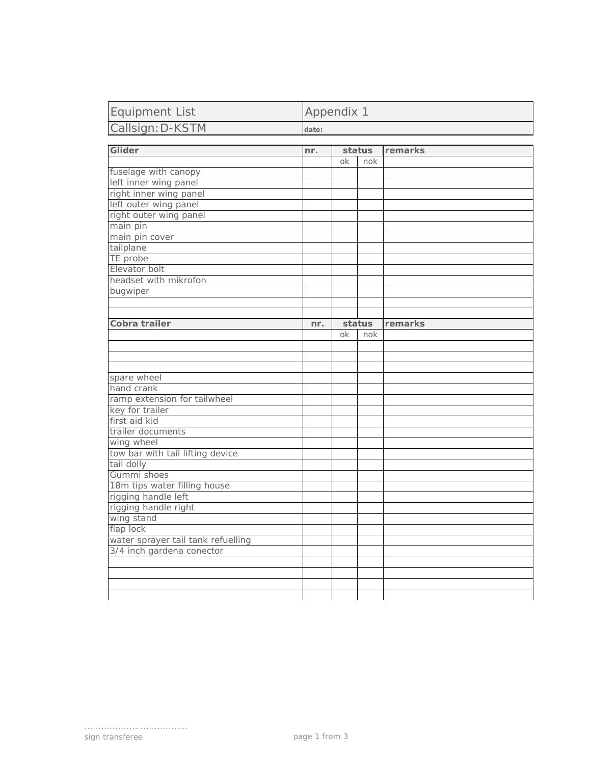| <b>Equipment List</b>              | Appendix 1 |    |        |         |
|------------------------------------|------------|----|--------|---------|
| Callsign: D-KSTM                   | date:      |    |        |         |
|                                    |            |    |        |         |
| Glider                             | nr.        |    | status | remarks |
|                                    |            | ok | nok    |         |
| fuselage with canopy               |            |    |        |         |
| left inner wing panel              |            |    |        |         |
| right inner wing panel             |            |    |        |         |
| left outer wing panel              |            |    |        |         |
| right outer wing panel             |            |    |        |         |
| main pin                           |            |    |        |         |
| main pin cover                     |            |    |        |         |
| tailplane                          |            |    |        |         |
| TE probe<br>Elevator bolt          |            |    |        |         |
| headset with mikrofon              |            |    |        |         |
|                                    |            |    |        |         |
| bugwiper                           |            |    |        |         |
|                                    |            |    |        |         |
| Cobra trailer                      | nr.        |    | status | remarks |
|                                    |            | ok | nok    |         |
|                                    |            |    |        |         |
|                                    |            |    |        |         |
|                                    |            |    |        |         |
| spare wheel                        |            |    |        |         |
| hand crank                         |            |    |        |         |
| ramp extension for tailwheel       |            |    |        |         |
| key for trailer                    |            |    |        |         |
| first aid kid                      |            |    |        |         |
| trailer documents                  |            |    |        |         |
| wing wheel                         |            |    |        |         |
| tow bar with tail lifting device   |            |    |        |         |
| tail dolly                         |            |    |        |         |
| Gummi shoes                        |            |    |        |         |
| 18m tips water filling house       |            |    |        |         |
| rigging handle left                |            |    |        |         |
| rigging handle right               |            |    |        |         |
| wing stand                         |            |    |        |         |
| flap lock                          |            |    |        |         |
| water sprayer tail tank refuelling |            |    |        |         |
| 3/4 inch gardena conector          |            |    |        |         |
|                                    |            |    |        |         |
|                                    |            |    |        |         |
|                                    |            |    |        |         |
|                                    |            |    |        |         |

.....................................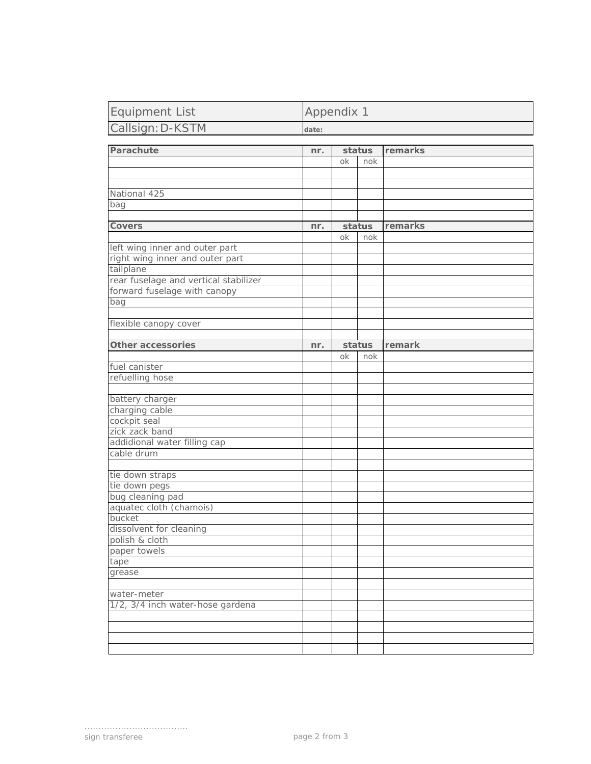| <b>Equipment List</b> | Appendix 1 |
|-----------------------|------------|
| Callsign: D-KSTM      | date:      |

| Parachute                             | nr. |    | status | remarks |
|---------------------------------------|-----|----|--------|---------|
|                                       |     | оk | nok    |         |
|                                       |     |    |        |         |
|                                       |     |    |        |         |
| National 425                          |     |    |        |         |
| bag                                   |     |    |        |         |
|                                       |     |    |        |         |
| <b>Covers</b>                         | nr. |    | status | remarks |
|                                       |     | ok | nok    |         |
| left wing inner and outer part        |     |    |        |         |
| right wing inner and outer part       |     |    |        |         |
| tailplane                             |     |    |        |         |
| rear fuselage and vertical stabilizer |     |    |        |         |
| forward fuselage with canopy          |     |    |        |         |
| bag                                   |     |    |        |         |
|                                       |     |    |        |         |
| flexible canopy cover                 |     |    |        |         |
|                                       |     |    |        |         |
| <b>Other accessories</b>              | nr. |    | status | remark  |
|                                       |     | оk | nok    |         |
| fuel canister                         |     |    |        |         |
| refuelling hose                       |     |    |        |         |
|                                       |     |    |        |         |
| battery charger                       |     |    |        |         |
| charging cable                        |     |    |        |         |
| cockpit seal                          |     |    |        |         |
| zick zack band                        |     |    |        |         |
| addidional water filling cap          |     |    |        |         |
| cable drum                            |     |    |        |         |
|                                       |     |    |        |         |
| tie down straps                       |     |    |        |         |
| tie down pegs                         |     |    |        |         |
| bug cleaning pad                      |     |    |        |         |
| aquatec cloth (chamois)               |     |    |        |         |
| bucket                                |     |    |        |         |
| dissolvent for cleaning               |     |    |        |         |
| polish & cloth                        |     |    |        |         |
| paper towels                          |     |    |        |         |
| tape                                  |     |    |        |         |
| grease                                |     |    |        |         |
|                                       |     |    |        |         |
| water-meter                           |     |    |        |         |
| 1/2, 3/4 inch water-hose gardena      |     |    |        |         |
|                                       |     |    |        |         |
|                                       |     |    |        |         |
|                                       |     |    |        |         |
|                                       |     |    |        |         |

.....................................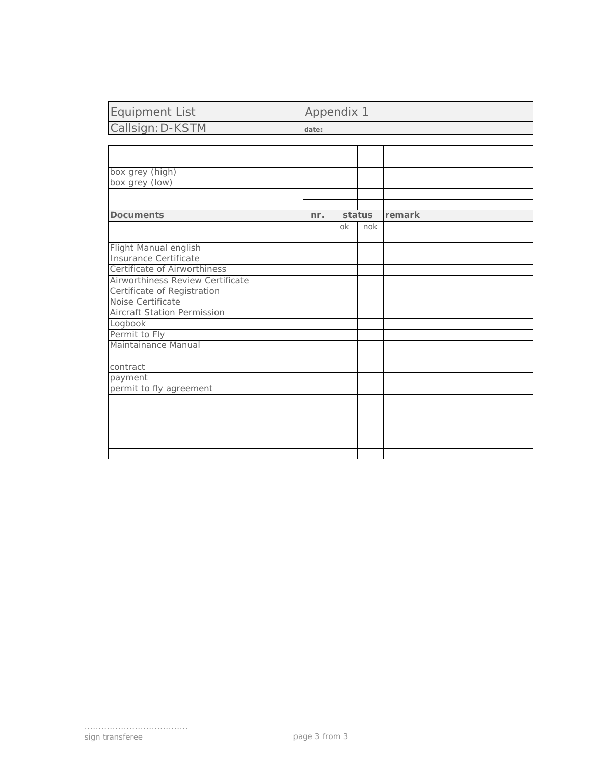| <b>Equipment List</b>              | Appendix 1 |    |        |        |
|------------------------------------|------------|----|--------|--------|
| Callsign: D-KSTM                   | date:      |    |        |        |
|                                    |            |    |        |        |
|                                    |            |    |        |        |
|                                    |            |    |        |        |
| box grey (high)                    |            |    |        |        |
| box grey (low)                     |            |    |        |        |
|                                    |            |    |        |        |
|                                    |            |    |        |        |
| <b>Documents</b>                   | nr.        |    | status | remark |
|                                    |            | ok | nok    |        |
|                                    |            |    |        |        |
| Flight Manual english              |            |    |        |        |
| <b>Insurance Certificate</b>       |            |    |        |        |
| Certificate of Airworthiness       |            |    |        |        |
| Airworthiness Review Certificate   |            |    |        |        |
| Certificate of Registration        |            |    |        |        |
| Noise Certificate                  |            |    |        |        |
| <b>Aircraft Station Permission</b> |            |    |        |        |
| Logbook                            |            |    |        |        |
| Permit to Fly                      |            |    |        |        |
| Maintainance Manual                |            |    |        |        |
|                                    |            |    |        |        |
| contract                           |            |    |        |        |
| payment                            |            |    |        |        |
| permit to fly agreement            |            |    |        |        |
|                                    |            |    |        |        |
|                                    |            |    |        |        |
|                                    |            |    |        |        |
|                                    |            |    |        |        |
|                                    |            |    |        |        |
|                                    |            |    |        |        |